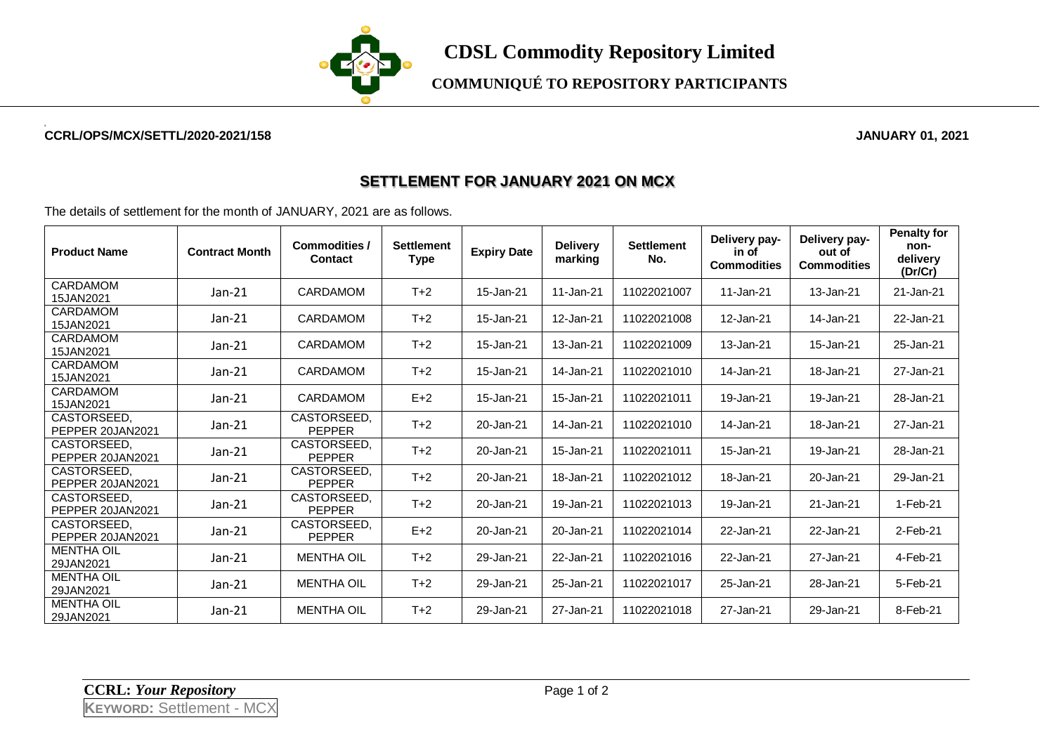

**COMMUNIQUÉ TO REPOSITORY PARTICIPANTS**

## **CCRL/OPS/MCX/SETTL/2020-2021/158 JANUARY 01, 2021**

## **SETTLEMENT FOR JANUARY 2021 ON MCX**

The details of settlement for the month of JANUARY, 2021 are as follows.

| <b>Product Name</b>             | <b>Contract Month</b> | <b>Commodities /</b><br><b>Contact</b> | <b>Settlement</b><br><b>Type</b> | <b>Expiry Date</b> | <b>Delivery</b><br>marking | <b>Settlement</b><br>No. | Delivery pay-<br>in of<br><b>Commodities</b> | Delivery pay-<br>out of<br><b>Commodities</b> | <b>Penalty for</b><br>non-<br>delivery<br>(Dr/Cr) |
|---------------------------------|-----------------------|----------------------------------------|----------------------------------|--------------------|----------------------------|--------------------------|----------------------------------------------|-----------------------------------------------|---------------------------------------------------|
| CARDAMOM<br>15JAN2021           | $Jan-21$              | CARDAMOM                               | $T+2$                            | 15-Jan-21          | 11-Jan-21                  | 11022021007              | 11-Jan-21                                    | 13-Jan-21                                     | 21-Jan-21                                         |
| CARDAMOM<br>15JAN2021           | $Jan-21$              | <b>CARDAMOM</b>                        | $T+2$                            | 15-Jan-21          | 12-Jan-21                  | 11022021008              | 12-Jan-21                                    | 14-Jan-21                                     | 22-Jan-21                                         |
| CARDAMOM<br>15JAN2021           | $Jan-21$              | <b>CARDAMOM</b>                        | $T+2$                            | 15-Jan-21          | 13-Jan-21                  | 11022021009              | 13-Jan-21                                    | 15-Jan-21                                     | 25-Jan-21                                         |
| CARDAMOM<br>15JAN2021           | $Jan-21$              | <b>CARDAMOM</b>                        | $T+2$                            | 15-Jan-21          | 14-Jan-21                  | 11022021010              | 14-Jan-21                                    | 18-Jan-21                                     | 27-Jan-21                                         |
| CARDAMOM<br>15JAN2021           | $Jan-21$              | <b>CARDAMOM</b>                        | $E+2$                            | 15-Jan-21          | 15-Jan-21                  | 11022021011              | 19-Jan-21                                    | 19-Jan-21                                     | 28-Jan-21                                         |
| CASTORSEED.<br>PEPPER 20JAN2021 | $Jan-21$              | CASTORSEED,<br><b>PEPPER</b>           | $T+2$                            | 20-Jan-21          | 14-Jan-21                  | 11022021010              | 14-Jan-21                                    | 18-Jan-21                                     | 27-Jan-21                                         |
| CASTORSEED.<br>PEPPER 20JAN2021 | $Jan-21$              | CASTORSEED.<br><b>PEPPER</b>           | $T+2$                            | 20-Jan-21          | 15-Jan-21                  | 11022021011              | 15-Jan-21                                    | 19-Jan-21                                     | 28-Jan-21                                         |
| CASTORSEED,<br>PEPPER 20JAN2021 | $Jan-21$              | CASTORSEED.<br><b>PEPPER</b>           | $T+2$                            | 20-Jan-21          | 18-Jan-21                  | 11022021012              | 18-Jan-21                                    | 20-Jan-21                                     | 29-Jan-21                                         |
| CASTORSEED.<br>PEPPER 20JAN2021 | $Jan-21$              | CASTORSEED.<br><b>PEPPER</b>           | $T+2$                            | 20-Jan-21          | 19-Jan-21                  | 11022021013              | 19-Jan-21                                    | 21-Jan-21                                     | 1-Feb-21                                          |
| CASTORSEED.<br>PEPPER 20JAN2021 | $Jan-21$              | CASTORSEED.<br><b>PEPPER</b>           | $E+2$                            | 20-Jan-21          | 20-Jan-21                  | 11022021014              | 22-Jan-21                                    | 22-Jan-21                                     | $2$ -Feb-21                                       |
| <b>MENTHA OIL</b><br>29JAN2021  | Jan-21                | <b>MENTHA OIL</b>                      | $T+2$                            | 29-Jan-21          | 22-Jan-21                  | 11022021016              | 22-Jan-21                                    | 27-Jan-21                                     | 4-Feb-21                                          |
| <b>MENTHA OIL</b><br>29JAN2021  | Jan-21                | <b>MENTHA OIL</b>                      | $T+2$                            | 29-Jan-21          | 25-Jan-21                  | 11022021017              | 25-Jan-21                                    | 28-Jan-21                                     | 5-Feb-21                                          |
| <b>MENTHA OIL</b><br>29JAN2021  | $Jan-21$              | <b>MENTHA OIL</b>                      | $T+2$                            | 29-Jan-21          | 27-Jan-21                  | 11022021018              | 27-Jan-21                                    | 29-Jan-21                                     | 8-Feb-21                                          |